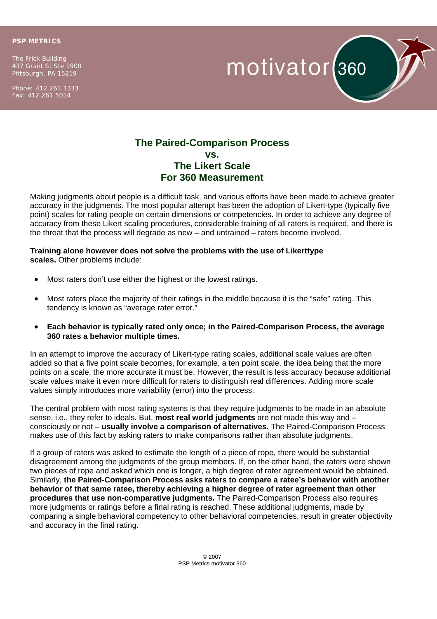## **PSP METRICS**

The Frick Building 437 Grant St Ste 1900 Pittsburgh, PA 15219

Phone: 412.261.1333 Fax: 412.261.5014



## **The Paired-Comparison Process vs. The Likert Scale For 360 Measurement**

Making judgments about people is a difficult task, and various efforts have been made to achieve greater accuracy in the judgments. The most popular attempt has been the adoption of Likert-type (typically five point) scales for rating people on certain dimensions or competencies. In order to achieve any degree of accuracy from these Likert scaling procedures, considerable training of all raters is required, and there is the threat that the process will degrade as new – and untrained – raters become involved.

## **Training alone however does not solve the problems with the use of Likerttype scales.** Other problems include:

- Most raters don't use either the highest or the lowest ratings.
- Most raters place the majority of their ratings in the middle because it is the "safe" rating. This tendency is known as "average rater error."
- **Each behavior is typically rated only once; in the Paired-Comparison Process, the average 360 rates a behavior multiple times.**

In an attempt to improve the accuracy of Likert-type rating scales, additional scale values are often added so that a five point scale becomes, for example, a ten point scale, the idea being that the more points on a scale, the more accurate it must be. However, the result is less accuracy because additional scale values make it even more difficult for raters to distinguish real differences. Adding more scale values simply introduces more variability (error) into the process.

The central problem with most rating systems is that they require judgments to be made in an absolute sense, i.e., they refer to ideals. But, **most real world judgments** are not made this way and – consciously or not – **usually involve a comparison of alternatives.** The Paired-Comparison Process makes use of this fact by asking raters to make comparisons rather than absolute judgments.

If a group of raters was asked to estimate the length of a piece of rope, there would be substantial disagreement among the judgments of the group members. If, on the other hand, the raters were shown two pieces of rope and asked which one is longer, a high degree of rater agreement would be obtained. Similarly, **the Paired-Comparison Process asks raters to compare a ratee's behavior with another behavior of that same ratee, thereby achieving a higher degree of rater agreement than other procedures that use non-comparative judgments.** The Paired-Comparison Process also requires more judgments or ratings before a final rating is reached. These additional judgments, made by comparing a single behavioral competency to other behavioral competencies, result in greater objectivity and accuracy in the final rating.